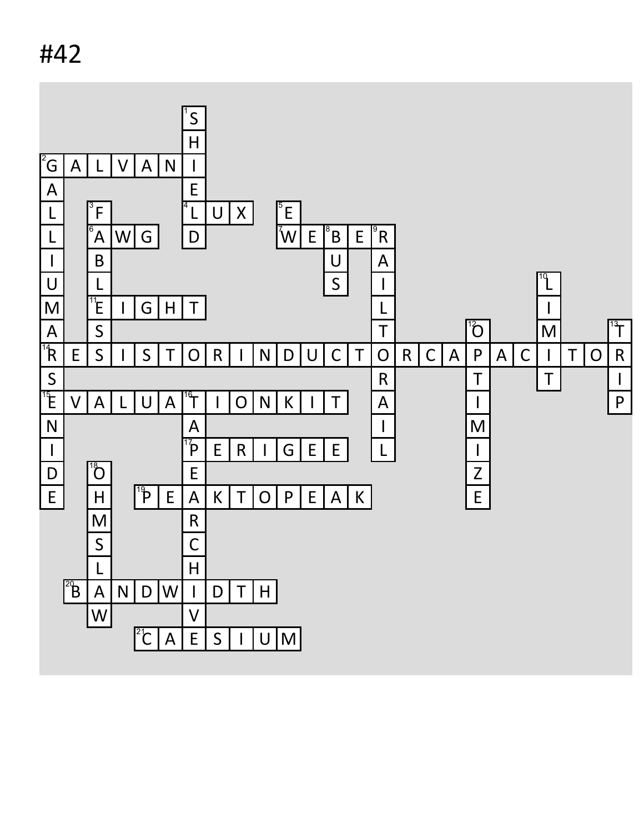